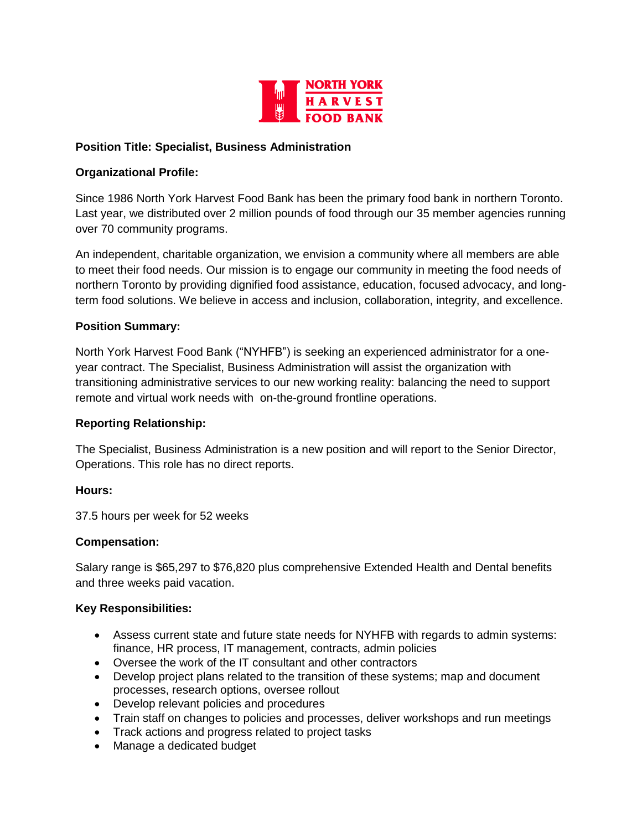

### **Position Title: Specialist, Business Administration**

## **Organizational Profile:**

Since 1986 North York Harvest Food Bank has been the primary food bank in northern Toronto. Last year, we distributed over 2 million pounds of food through our 35 member agencies running over 70 community programs.

An independent, charitable organization, we envision a community where all members are able to meet their food needs. Our mission is to engage our community in meeting the food needs of northern Toronto by providing dignified food assistance, education, focused advocacy, and longterm food solutions. We believe in access and inclusion, collaboration, integrity, and excellence.

#### **Position Summary:**

North York Harvest Food Bank ("NYHFB") is seeking an experienced administrator for a oneyear contract. The Specialist, Business Administration will assist the organization with transitioning administrative services to our new working reality: balancing the need to support remote and virtual work needs with on-the-ground frontline operations.

#### **Reporting Relationship:**

The Specialist, Business Administration is a new position and will report to the Senior Director, Operations. This role has no direct reports.

#### **Hours:**

37.5 hours per week for 52 weeks

#### **Compensation:**

Salary range is \$65,297 to \$76,820 plus comprehensive Extended Health and Dental benefits and three weeks paid vacation.

# **Key Responsibilities:**

- Assess current state and future state needs for NYHFB with regards to admin systems: finance, HR process, IT management, contracts, admin policies
- Oversee the work of the IT consultant and other contractors
- Develop project plans related to the transition of these systems; map and document processes, research options, oversee rollout
- Develop relevant policies and procedures
- Train staff on changes to policies and processes, deliver workshops and run meetings
- Track actions and progress related to project tasks
- Manage a dedicated budget